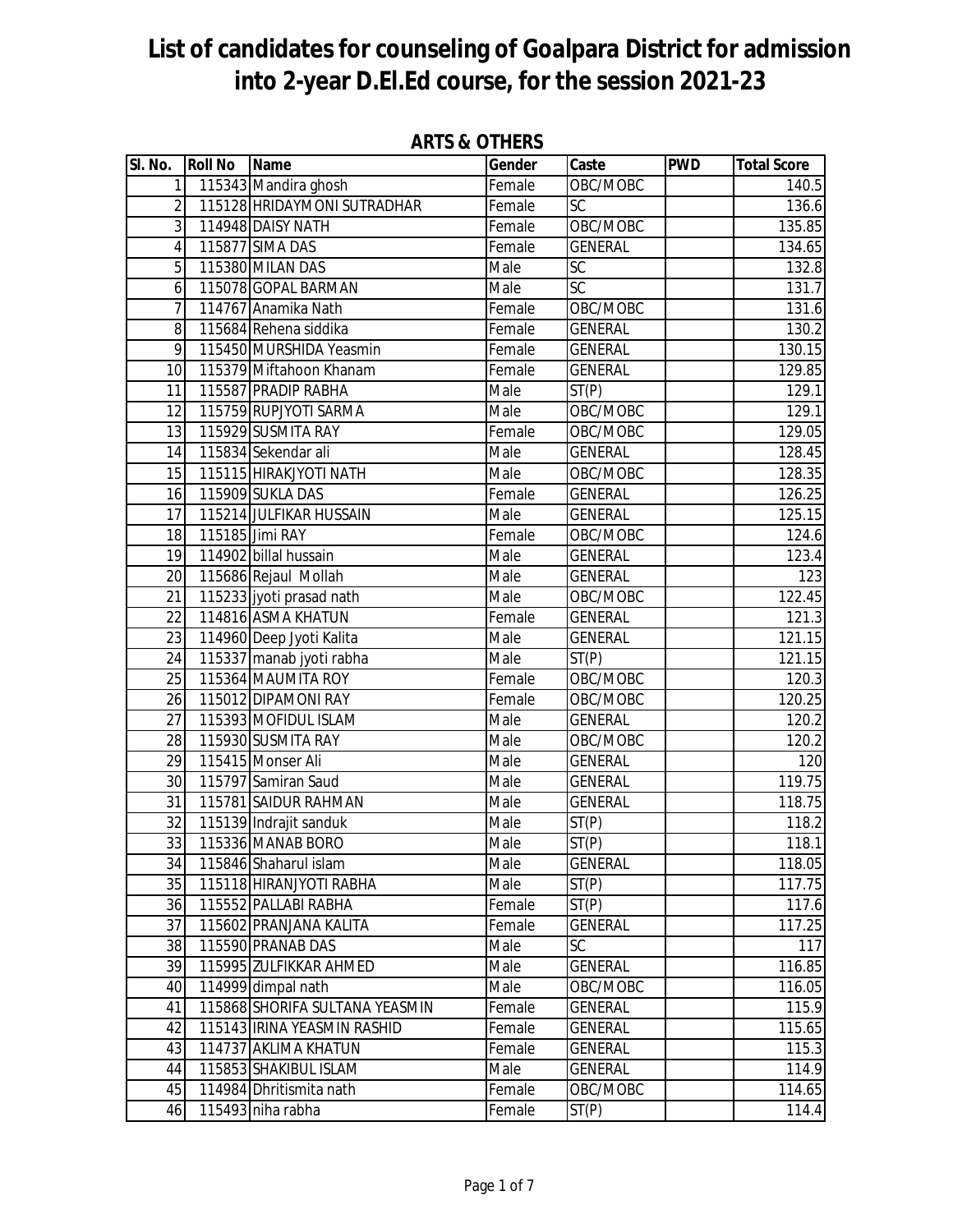| SI. No.         | <b>Roll No</b> | <b>Name</b>                    | Gender | Caste              | <b>PWD</b> | <b>Total Score</b> |
|-----------------|----------------|--------------------------------|--------|--------------------|------------|--------------------|
| 1               |                | 115343 Mandira ghosh           | Female | OBC/MOBC           |            | 140.5              |
| $\overline{2}$  |                | 115128 HRIDAYMONI SUTRADHAR    | Female | SC                 |            | 136.6              |
| 3               |                | 114948 DAISY NATH              | Female | OBC/MOBC           |            | 135.85             |
| 4               |                | 115877 SIMA DAS                | Female | <b>GENERAL</b>     |            | 134.65             |
| 5               |                | 115380 MILAN DAS               | Male   | SC                 |            | 132.8              |
| 6               |                | 115078 GOPAL BARMAN            | Male   | SC                 |            | 131.7              |
| 7               |                | 114767 Anamika Nath            | Female | OBC/MOBC           |            | 131.6              |
| 8               |                | 115684 Rehena siddika          | Female | <b>GENERAL</b>     |            | 130.2              |
| 9               |                | 115450 MURSHIDA Yeasmin        | Female | <b>GENERAL</b>     |            | 130.15             |
| 10              |                | 115379 Miftahoon Khanam        | Female | <b>GENERAL</b>     |            | 129.85             |
| 11              |                | 115587 PRADIP RABHA            | Male   | ST(P)              |            | 129.1              |
| 12              |                | 115759 RUPJYOTI SARMA          | Male   | OBC/MOBC           |            | 129.1              |
| 13              |                | 115929 SUSMITA RAY             | Female | OBC/MOBC           |            | 129.05             |
| 14              |                | 115834 Sekendar ali            | Male   | <b>GENERAL</b>     |            | 128.45             |
| 15              |                | 115115 HIRAKJYOTI NATH         | Male   | OBC/MOBC           |            | 128.35             |
| 16              |                | 115909 SUKLA DAS               | Female | <b>GENERAL</b>     |            | 126.25             |
| 17              |                | 115214 JULFIKAR HUSSAIN        | Male   | <b>GENERAL</b>     |            | 125.15             |
| 18              |                | 115185 Jimi RAY                | Female | OBC/MOBC           |            | 124.6              |
| 19              |                | 114902 billal hussain          | Male   | <b>GENERAL</b>     |            | 123.4              |
| 20              |                | 115686 Rejaul Mollah           | Male   | <b>GENERAL</b>     |            | 123                |
| $\overline{21}$ |                | 115233 jyoti prasad nath       | Male   | OBC/MOBC           |            | 122.45             |
| 22              |                | 114816 ASMA KHATUN             | Female | <b>GENERAL</b>     |            | 121.3              |
| 23              |                | 114960 Deep Jyoti Kalita       | Male   | <b>GENERAL</b>     |            | 121.15             |
| 24              |                | 115337 manab jyoti rabha       | Male   | ST(P)              |            | 121.15             |
| 25              |                | 115364 MAUMITA ROY             | Female | OBC/MOBC           |            | 120.3              |
| 26              |                | 115012 DIPAMONI RAY            | Female | OBC/MOBC           |            | 120.25             |
| 27              |                | 115393 MOFIDUL ISLAM           | Male   | <b>GENERAL</b>     |            | 120.2              |
| 28              |                | 115930 SUSMITA RAY             | Male   | OBC/MOBC           |            | 120.2              |
| 29              |                | 115415 Monser Ali              | Male   | <b>GENERAL</b>     |            | 120                |
| 30              |                | 115797 Samiran Saud            | Male   | <b>GENERAL</b>     |            | 119.75             |
| 31              |                | 115781 SAIDUR RAHMAN           | Male   | <b>GENERAL</b>     |            | 118.75             |
| $\overline{32}$ |                | 115139 Indrajit sanduk         | Male   | $\overline{ST}(P)$ |            | 118.2              |
| 33 <sup>2</sup> |                | 115336 MANAB BORO              | Male   | ST(P)              |            | 118.1              |
| 34              |                | 115846 Shaharul islam          | Male   | <b>GENERAL</b>     |            | 118.05             |
| 35              |                | 115118 HIRANJYOTI RABHA        | Male   | ST(P)              |            | 117.75             |
| 36              |                | 115552 PALLABI RABHA           | Female | ST(P)              |            | 117.6              |
| 37              |                | 115602 PRANJANA KALITA         | Female | <b>GENERAL</b>     |            | 117.25             |
| 38              |                | 115590 PRANAB DAS              | Male   | SC                 |            | 117                |
| 39              |                | 115995 ZULFIKKAR AHMED         | Male   | <b>GENERAL</b>     |            | 116.85             |
| 40              |                | 114999 dimpal nath             | Male   | OBC/MOBC           |            | 116.05             |
| 41              |                | 115868 SHORIFA SULTANA YEASMIN | Female | <b>GENERAL</b>     |            | 115.9              |
| 42              |                | 115143 IRINA YEASMIN RASHID    | Female | <b>GENERAL</b>     |            | 115.65             |
| 43              |                | 114737 AKLIMA KHATUN           | Female | <b>GENERAL</b>     |            | 115.3              |
| 44              |                | 115853 SHAKIBUL ISLAM          | Male   | <b>GENERAL</b>     |            | 114.9              |
| 45              |                | 114984 Dhritismita nath        | Female | OBC/MOBC           |            | 114.65             |
| 46              |                | 115493 niha rabha              | Female | ST(P)              |            | 114.4              |

#### **ARTS & OTHERS**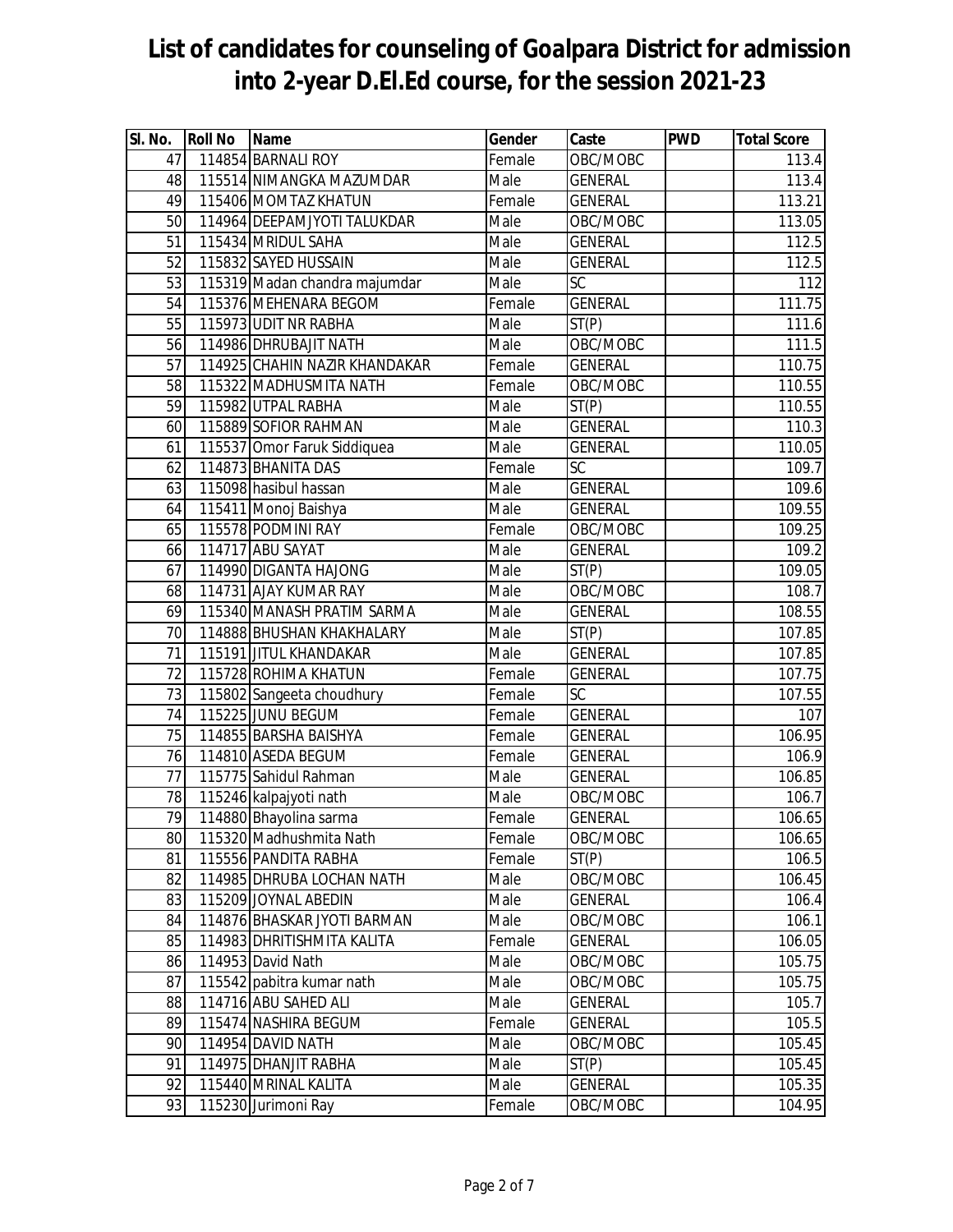| SI. No. | <b>Roll No</b> | Name                          | Gender | Caste                  | <b>PWD</b> | <b>Total Score</b> |
|---------|----------------|-------------------------------|--------|------------------------|------------|--------------------|
| 47      |                | 114854 BARNALI ROY            | Female | OBC/MOBC               |            | 113.4              |
| 48      |                | 115514 NIMANGKA MAZUMDAR      | Male   | <b>GENERAL</b>         |            | 113.4              |
| 49      |                | 115406 MOMTAZ KHATUN          | Female | <b>GENERAL</b>         |            | 113.21             |
| 50      |                | 114964 DEEPAMJYOTI TALUKDAR   | Male   | OBC/MOBC               |            | 113.05             |
| 51      |                | 115434 MRIDUL SAHA            | Male   | <b>GENERAL</b>         |            | 112.5              |
| 52      |                | 115832 SAYED HUSSAIN          | Male   | <b>GENERAL</b>         |            | 112.5              |
| 53      |                | 115319 Madan chandra majumdar | Male   | <b>SC</b>              |            | 112                |
| 54      |                | 115376 MEHENARA BEGOM         | Female | <b>GENERAL</b>         |            | 111.75             |
| 55      |                | 115973 UDIT NR RABHA          | Male   | ST(P)                  |            | 111.6              |
| 56      |                | 114986 DHRUBAJIT NATH         | Male   | OBC/MOBC               |            | 111.5              |
| 57      |                | 114925 CHAHIN NAZIR KHANDAKAR | Female | <b>GENERAL</b>         |            | 110.75             |
| 58      |                | 115322 MADHUSMITA NATH        | Female | OBC/MOBC               |            | 110.55             |
| 59      |                | 115982 UTPAL RABHA            | Male   | ST(P)                  |            | 110.55             |
| 60      |                | 115889 SOFIOR RAHMAN          | Male   | <b>GENERAL</b>         |            | 110.3              |
| 61      |                | 115537 Omor Faruk Siddiquea   | Male   | <b>GENERAL</b>         |            | 110.05             |
| 62      |                | 114873 BHANITA DAS            | Female | <b>SC</b>              |            | 109.7              |
| 63      |                | 115098 hasibul hassan         | Male   | <b>GENERAL</b>         |            | 109.6              |
| 64      |                | 115411 Monoj Baishya          | Male   | <b>GENERAL</b>         |            | 109.55             |
| 65      |                | 115578 PODMINI RAY            | Female | OBC/MOBC               |            | 109.25             |
| 66      |                | 114717 ABU SAYAT              | Male   | <b>GENERAL</b>         |            | 109.2              |
| 67      |                | 114990 DIGANTA HAJONG         | Male   | $\overline{ST}(P)$     |            | 109.05             |
| 68      |                | 114731 AJAY KUMAR RAY         | Male   | OBC/MOBC               |            | 108.7              |
| 69      |                | 115340 MANASH PRATIM SARMA    | Male   | <b>GENERAL</b>         |            | 108.55             |
| 70      |                | 114888 BHUSHAN KHAKHALARY     | Male   | ST(P)                  |            | 107.85             |
| 71      |                | 115191 JITUL KHANDAKAR        | Male   | <b>GENERAL</b>         |            | 107.85             |
| 72      |                | 115728 ROHIMA KHATUN          | Female | <b>GENERAL</b>         |            | 107.75             |
| 73      |                | 115802 Sangeeta choudhury     | Female | $\overline{\text{SC}}$ |            | 107.55             |
| 74      |                | 115225 JUNU BEGUM             | Female | <b>GENERAL</b>         |            | 107                |
| 75      |                | 114855 BARSHA BAISHYA         | Female | <b>GENERAL</b>         |            | 106.95             |
| 76      |                | 114810 ASEDA BEGUM            | Female | <b>GENERAL</b>         |            | 106.9              |
| 77      |                | 115775 Sahidul Rahman         | Male   | <b>GENERAL</b>         |            | 106.85             |
| 78      |                | 115246 kalpajyoti nath        | Male   | OBC/MOBC               |            | 106.7              |
| 79      |                | 114880 Bhayolina sarma        | Female | <b>GENERAL</b>         |            | 106.65             |
| 80      |                | 115320 Madhushmita Nath       | Female | OBC/MOBC               |            | 106.65             |
| 81      |                | 115556 PANDITA RABHA          | Female | ST(P)                  |            | 106.5              |
| 82      |                | 114985 DHRUBA LOCHAN NATH     | Male   | OBC/MOBC               |            | 106.45             |
| 83      |                | 115209 JOYNAL ABEDIN          | Male   | <b>GENERAL</b>         |            | 106.4              |
| 84      |                | 114876 BHASKAR JYOTI BARMAN   | Male   | OBC/MOBC               |            | 106.1              |
| 85      |                | 114983 DHRITISHMITA KALITA    | Female | <b>GENERAL</b>         |            | 106.05             |
| 86      |                | 114953 David Nath             | Male   | OBC/MOBC               |            | 105.75             |
| 87      |                | 115542 pabitra kumar nath     | Male   | OBC/MOBC               |            | 105.75             |
| 88      |                | 114716 ABU SAHED ALI          | Male   | <b>GENERAL</b>         |            | 105.7              |
| 89      |                | 115474 NASHIRA BEGUM          | Female | <b>GENERAL</b>         |            | 105.5              |
| 90      |                | 114954 DAVID NATH             | Male   | OBC/MOBC               |            | 105.45             |
| 91      |                | 114975 DHANJIT RABHA          | Male   | ST(P)                  |            | 105.45             |
| 92      |                | 115440 MRINAL KALITA          | Male   | <b>GENERAL</b>         |            | 105.35             |
| 93      |                | 115230 Jurimoni Ray           | Female | OBC/MOBC               |            | 104.95             |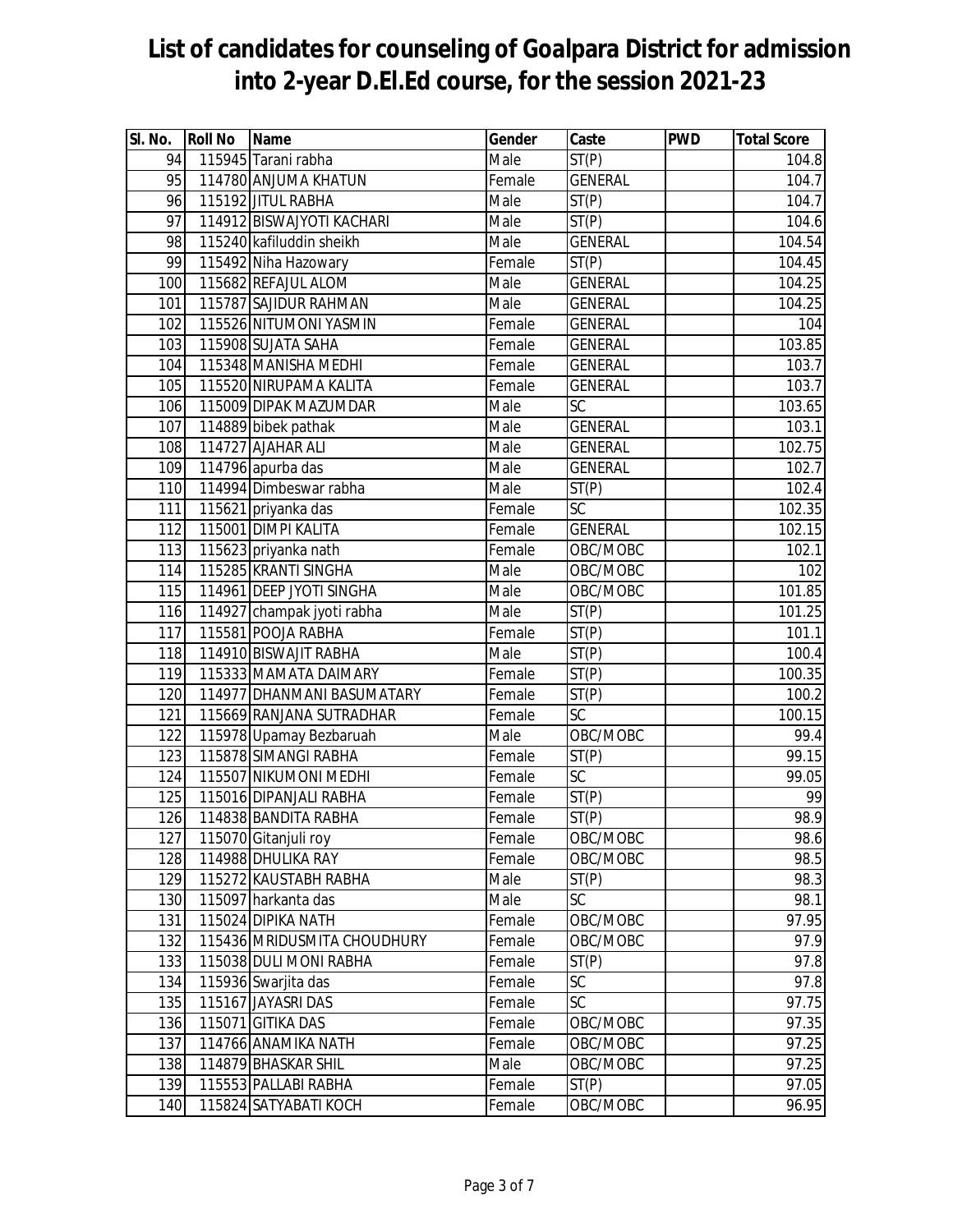| SI. No. | <b>Roll No</b> | Name                        | Gender | Caste              | <b>PWD</b> | <b>Total Score</b> |
|---------|----------------|-----------------------------|--------|--------------------|------------|--------------------|
| 94      |                | 115945 Tarani rabha         | Male   | $\overline{ST}(P)$ |            | 104.8              |
| 95      |                | 114780 ANJUMA KHATUN        | Female | <b>GENERAL</b>     |            | 104.7              |
| 96      |                | 115192 JITUL RABHA          | Male   | ST(P)              |            | 104.7              |
| 97      |                | 114912 BISWAJYOTI KACHARI   | Male   | ST(P)              |            | 104.6              |
| 98      |                | 115240 kafiluddin sheikh    | Male   | <b>GENERAL</b>     |            | 104.54             |
| 99      |                | 115492 Niha Hazowary        | Female | ST(P)              |            | 104.45             |
| 100     |                | 115682 REFAJUL ALOM         | Male   | <b>GENERAL</b>     |            | 104.25             |
| 101     |                | 115787 SAJIDUR RAHMAN       | Male   | <b>GENERAL</b>     |            | 104.25             |
| 102     |                | 115526 NITUMONI YASMIN      | Female | <b>GENERAL</b>     |            | 104                |
| 103     |                | 115908 SUJATA SAHA          | Female | <b>GENERAL</b>     |            | 103.85             |
| 104     |                | 115348 MANISHA MEDHI        | Female | <b>GENERAL</b>     |            | 103.7              |
| 105     |                | 115520 NIRUPAMA KALITA      | Female | <b>GENERAL</b>     |            | 103.7              |
| 106     |                | 115009 DIPAK MAZUMDAR       | Male   | SC                 |            | 103.65             |
| 107     |                | 114889 bibek pathak         | Male   | <b>GENERAL</b>     |            | 103.1              |
| 108     |                | 114727 AJAHAR ALI           | Male   | <b>GENERAL</b>     |            | 102.75             |
| 109     |                | 114796 apurba das           | Male   | <b>GENERAL</b>     |            | 102.7              |
| 110     |                | 114994 Dimbeswar rabha      | Male   | ST(P)              |            | 102.4              |
| 111     |                | 115621 priyanka das         | Female | $\overline{SC}$    |            | 102.35             |
| 112     |                | 115001 DIMPI KALITA         | Female | <b>GENERAL</b>     |            | 102.15             |
| 113     |                | 115623 priyanka nath        | Female | OBC/MOBC           |            | 102.1              |
| 114     |                | 115285 KRANTI SINGHA        | Male   | OBC/MOBC           |            | 102                |
| 115     |                | 114961 DEEP JYOTI SINGHA    | Male   | OBC/MOBC           |            | 101.85             |
| 116     |                | 114927 champak jyoti rabha  | Male   | $\overline{ST(P)}$ |            | 101.25             |
| 117     |                | 115581 POOJA RABHA          | Female | ST(P)              |            | 101.1              |
| 118     |                | 114910 BISWAJIT RABHA       | Male   | ST(P)              |            | 100.4              |
| 119     |                | 115333 MAMATA DAIMARY       | Female | ST(P)              |            | 100.35             |
| 120     |                | 114977 DHANMANI BASUMATARY  | Female | ST(P)              |            | 100.2              |
| 121     |                | 115669 RANJANA SUTRADHAR    | Female | $\overline{SC}$    |            | 100.15             |
| 122     |                | 115978 Upamay Bezbaruah     | Male   | OBC/MOBC           |            | 99.4               |
| 123     |                | 115878 SIMANGI RABHA        | Female | ST(P)              |            | 99.15              |
| 124     |                | 115507 NIKUMONI MEDHI       | Female | SC                 |            | 99.05              |
| 125     |                | 115016 DIPANJALI RABHA      | Female | ST(P)              |            | 99                 |
| 126     |                | 114838 BANDITA RABHA        | Female | $\overline{ST(P)}$ |            | 98.9               |
| 127     |                | 115070 Gitanjuli roy        | Female | OBC/MOBC           |            | 98.6               |
| 128     |                | 114988 DHULIKA RAY          | Female | OBC/MOBC           |            | 98.5               |
| 129     |                | 115272 KAUSTABH RABHA       | Male   | ST(P)              |            | 98.3               |
| 130     |                | 115097 harkanta das         | Male   | <b>SC</b>          |            | 98.1               |
| 131     |                | 115024 DIPIKA NATH          | Female | OBC/MOBC           |            | 97.95              |
| 132     |                | 115436 MRIDUSMITA CHOUDHURY | Female | OBC/MOBC           |            | 97.9               |
| 133     |                | 115038 DULI MONI RABHA      | Female | ST(P)              |            | 97.8               |
| 134     |                | 115936 Swarjita das         | Female | SC                 |            | 97.8               |
| 135     |                | 115167 JAYASRI DAS          | Female | $\overline{SC}$    |            | 97.75              |
| 136     |                | 115071 GITIKA DAS           | Female | OBC/MOBC           |            | 97.35              |
| 137     |                | 114766 ANAMIKA NATH         | Female | OBC/MOBC           |            | 97.25              |
| 138     |                | 114879 BHASKAR SHIL         | Male   | OBC/MOBC           |            | 97.25              |
| 139     |                | 115553 PALLABI RABHA        | Female | ST(P)              |            | 97.05              |
| 140     |                | 115824 SATYABATI KOCH       | Female | OBC/MOBC           |            | 96.95              |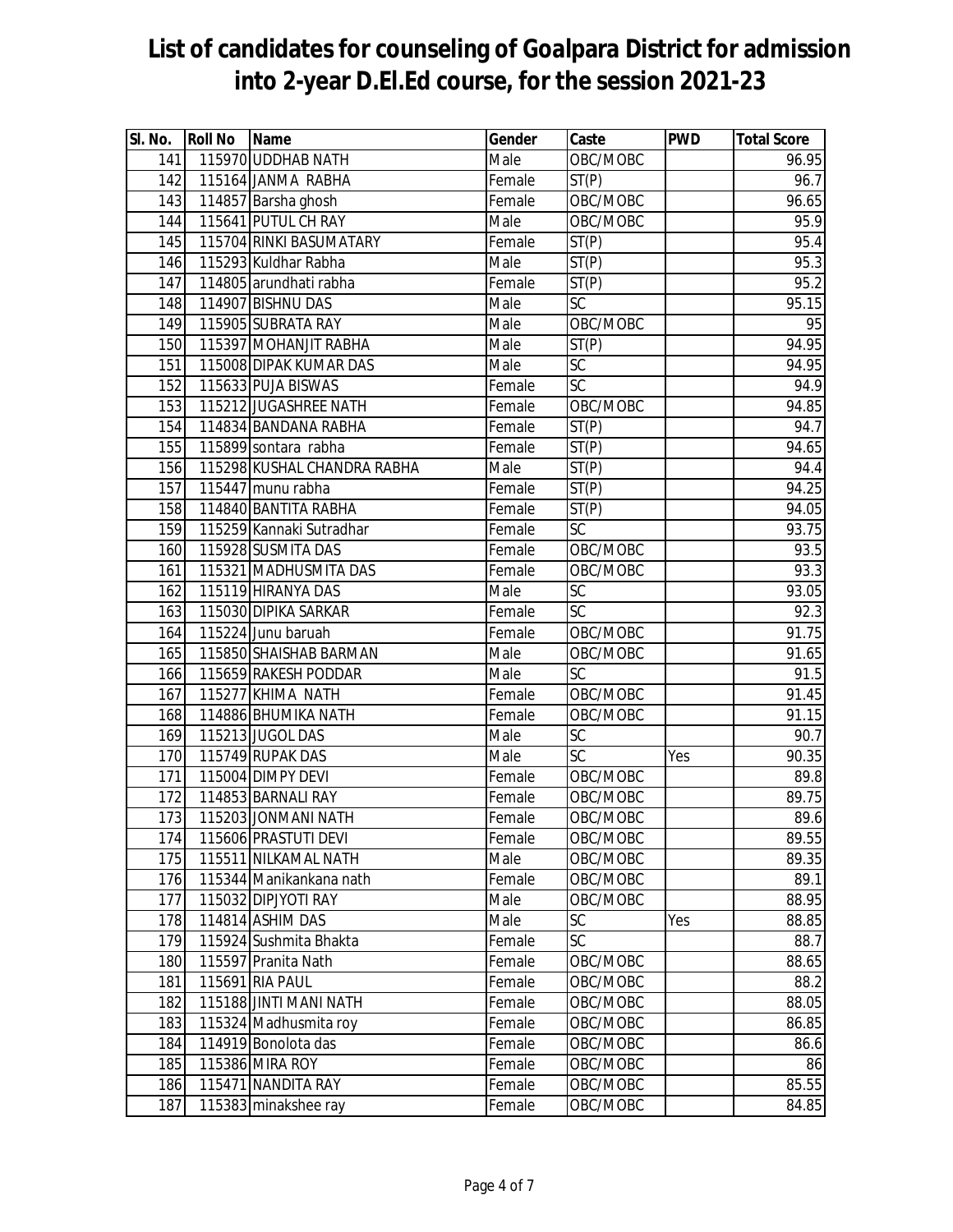| SI. No. | Roll No Name |                             | Gender | Caste              | <b>PWD</b> | <b>Total Score</b> |
|---------|--------------|-----------------------------|--------|--------------------|------------|--------------------|
| 141     |              | 115970 UDDHAB NATH          | Male   | OBC/MOBC           |            | 96.95              |
| 142     |              | 115164 JANMA RABHA          | Female | ST(P)              |            | 96.7               |
| 143     |              | 114857 Barsha ghosh         | Female | OBC/MOBC           |            | 96.65              |
| 144     |              | 115641 PUTUL CH RAY         | Male   | OBC/MOBC           |            | 95.9               |
| 145     |              | 115704 RINKI BASUMATARY     | Female | ST(P)              |            | 95.4               |
| 146     |              | 115293 Kuldhar Rabha        | Male   | ST(P)              |            | 95.3               |
| 147     |              | 114805 arundhati rabha      | Female | ST(P)              |            | 95.2               |
| 148     |              | 114907 BISHNU DAS           | Male   | <b>SC</b>          |            | 95.15              |
| 149     |              | 115905 SUBRATA RAY          | Male   | OBC/MOBC           |            | 95                 |
| 150     |              | 115397 MOHANJIT RABHA       | Male   | $\overline{ST}(P)$ |            | 94.95              |
| 151     |              | 115008 DIPAK KUMAR DAS      | Male   | <b>SC</b>          |            | 94.95              |
| 152     |              | 115633 PUJA BISWAS          | Female | SC                 |            | 94.9               |
| 153     |              | 115212 JUGASHREE NATH       | Female | OBC/MOBC           |            | 94.85              |
| 154     |              | 114834 BANDANA RABHA        | Female | ST(P)              |            | 94.7               |
| 155     |              | 115899 sontara rabha        | Female | ST(P)              |            | 94.65              |
| 156     |              | 115298 KUSHAL CHANDRA RABHA | Male   | ST(P)              |            | 94.4               |
| 157     |              | 115447 munu rabha           | Female | ST(P)              |            | 94.25              |
| 158     |              | 114840 BANTITA RABHA        | Female | ST(P)              |            | 94.05              |
| 159     |              | 115259 Kannaki Sutradhar    | Female | $\overline{SC}$    |            | 93.75              |
| 160     |              | 115928 SUSMITA DAS          | Female | OBC/MOBC           |            | 93.5               |
| 161     |              | 115321 MADHUSMITA DAS       | Female | OBC/MOBC           |            | $\overline{93.3}$  |
| 162     |              | 115119 HIRANYA DAS          | Male   | SC                 |            | 93.05              |
| 163     |              | 115030 DIPIKA SARKAR        | Female | SC                 |            | 92.3               |
| 164     |              | 115224 Junu baruah          | Female | OBC/MOBC           |            | 91.75              |
| 165     |              | 115850 SHAISHAB BARMAN      | Male   | OBC/MOBC           |            | 91.65              |
| 166     |              | 115659 RAKESH PODDAR        | Male   | $\overline{SC}$    |            | 91.5               |
| 167     |              | 115277 KHIMA NATH           | Female | OBC/MOBC           |            | 91.45              |
| 168     |              | 114886 BHUMIKA NATH         | Female | OBC/MOBC           |            | 91.15              |
| 169     |              | 115213 JUGOL DAS            | Male   | SC                 |            | 90.7               |
| 170     |              | 115749 RUPAK DAS            | Male   | SC                 | Yes        | 90.35              |
| 171     |              | 115004 DIMPY DEVI           | Female | OBC/MOBC           |            | 89.8               |
| 172     |              | 114853 BARNALI RAY          | Female | OBC/MOBC           |            | 89.75              |
| 173     |              | 115203 JONMANI NATH         | Female | OBC/MOBC           |            | 89.6               |
| 174     |              | 115606 PRASTUTI DEVI        | Female | OBC/MOBC           |            | 89.55              |
| 175     |              | 115511 NILKAMAL NATH        | Male   | OBC/MOBC           |            | 89.35              |
| 176     |              | 115344 Manikankana nath     | Female | OBC/MOBC           |            | 89.1               |
| 177     |              | 115032 DIPJYOTI RAY         | Male   | OBC/MOBC           |            | 88.95              |
| 178     |              | 114814 ASHIM DAS            | Male   | SC                 | Yes        | 88.85              |
| 179     |              | 115924 Sushmita Bhakta      | Female | SC                 |            | 88.7               |
| 180     |              | 115597 Pranita Nath         | Female | OBC/MOBC           |            | 88.65              |
| 181     |              | 115691 RIA PAUL             | Female | OBC/MOBC           |            | 88.2               |
| 182     |              | 115188 JINTI MANI NATH      | Female | OBC/MOBC           |            | 88.05              |
| 183     |              | 115324 Madhusmita roy       | Female | OBC/MOBC           |            | 86.85              |
| 184     |              | 114919 Bonolota das         | Female | OBC/MOBC           |            | 86.6               |
| 185     |              | 115386 MIRA ROY             | Female | OBC/MOBC           |            | 86                 |
| 186     |              | 115471 NANDITA RAY          | Female | OBC/MOBC           |            | 85.55              |
| 187     |              | 115383 minakshee ray        | Female | OBC/MOBC           |            | 84.85              |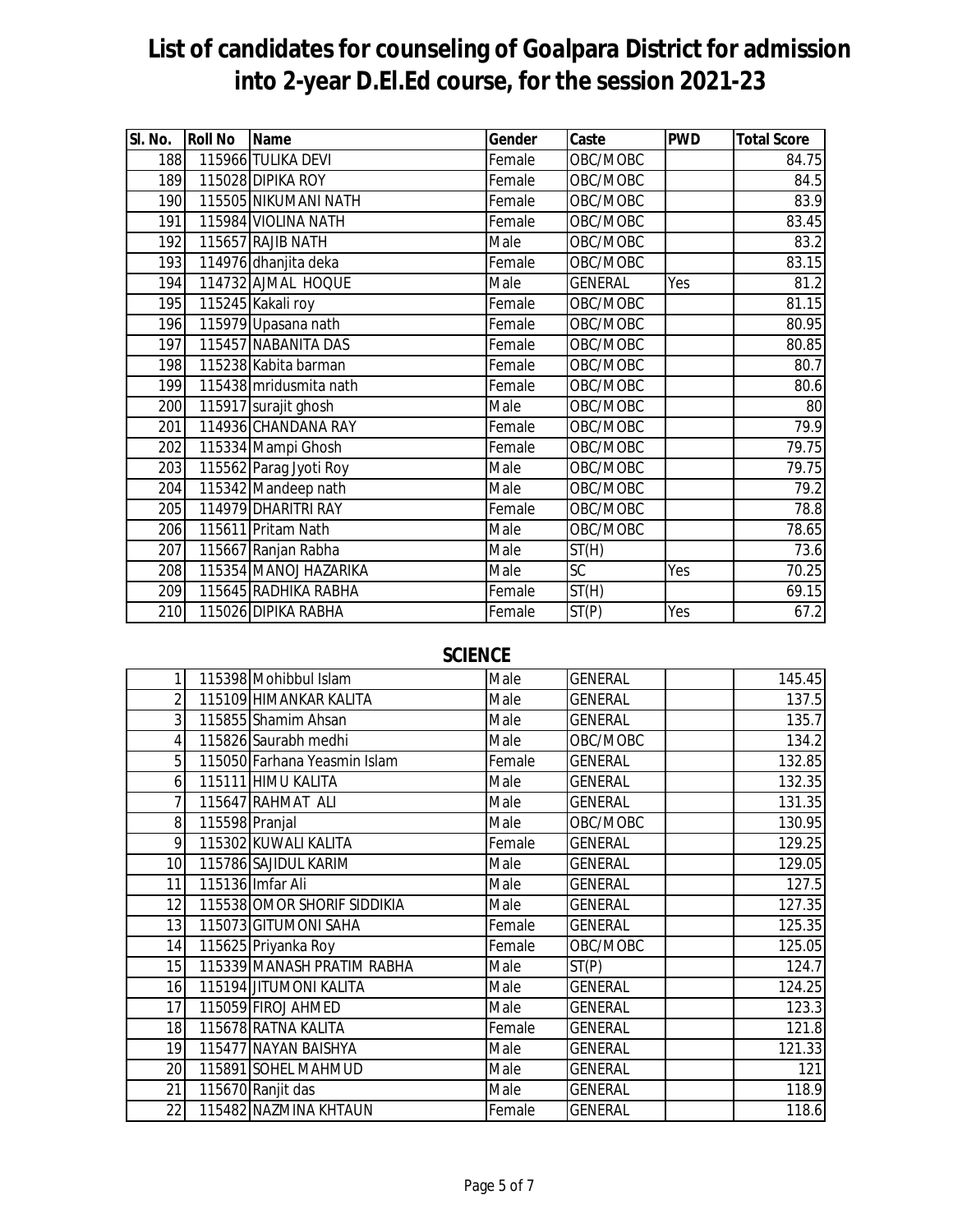| SI. No. | <b>Roll No</b> | <b>Name</b>            | Gender | Caste          | <b>PWD</b> | <b>Total Score</b> |
|---------|----------------|------------------------|--------|----------------|------------|--------------------|
| 188     |                | 115966 TULIKA DEVI     | Female | OBC/MOBC       |            | 84.75              |
| 189     |                | 115028 DIPIKA ROY      | Female | OBC/MOBC       |            | 84.5               |
| 190     |                | 115505 NIKUMANI NATH   | Female | OBC/MOBC       |            | 83.9               |
| 191     |                | 115984 VIOLINA NATH    | Female | OBC/MOBC       |            | 83.45              |
| 192     |                | 115657 RAJIB NATH      | Male   | OBC/MOBC       |            | 83.2               |
| 193     |                | 114976 dhanjita deka   | Female | OBC/MOBC       |            | 83.15              |
| 194     |                | 114732 AJMAL HOQUE     | Male   | <b>GENERAL</b> | Yes        | 81.2               |
| 195     |                | 115245 Kakali roy      | Female | OBC/MOBC       |            | 81.15              |
| 196     |                | 115979 Upasana nath    | Female | OBC/MOBC       |            | 80.95              |
| 197     |                | 115457 NABANITA DAS    | Female | OBC/MOBC       |            | 80.85              |
| 198     |                | 115238 Kabita barman   | Female | OBC/MOBC       |            | 80.7               |
| 199     |                | 115438 mridusmita nath | Female | OBC/MOBC       |            | 80.6               |
| 200     |                | 115917 surajit ghosh   | Male   | OBC/MOBC       |            | 80                 |
| 201     |                | 114936 CHANDANA RAY    | Female | OBC/MOBC       |            | 79.9               |
| 202     |                | 115334 Mampi Ghosh     | Female | OBC/MOBC       |            | 79.75              |
| 203     |                | 115562 Parag Jyoti Roy | Male   | OBC/MOBC       |            | 79.75              |
| 204     |                | 115342 Mandeep nath    | Male   | OBC/MOBC       |            | 79.2               |
| 205     |                | 114979 DHARITRI RAY    | Female | OBC/MOBC       |            | 78.8               |
| 206     |                | 115611 Pritam Nath     | Male   | OBC/MOBC       |            | 78.65              |
| 207     |                | 115667 Ranjan Rabha    | Male   | ST(H)          |            | $\overline{7}3.6$  |
| 208     |                | 115354 MANOJ HAZARIKA  | Male   | <b>SC</b>      | Yes        | 70.25              |
| 209     |                | 115645 RADHIKA RABHA   | Female | ST(H)          |            | 69.15              |
| 210     |                | 115026 DIPIKA RABHA    | Female | ST(P)          | Yes        | 67.2               |

#### **SCIENCE**

|                 |                | 115398 Mohibbul Islam        | Male   | <b>GENERAL</b> | 145.45 |
|-----------------|----------------|------------------------------|--------|----------------|--------|
| $\overline{2}$  |                | 115109 HIMANKAR KALITA       | Male   | <b>GENERAL</b> | 137.5  |
| 3               |                | 115855 Shamim Ahsan          | Male   | <b>GENERAL</b> | 135.7  |
| 4               |                | 115826 Saurabh medhi         | Male   | OBC/MOBC       | 134.2  |
| 5               |                | 115050 Farhana Yeasmin Islam | Female | <b>GENERAL</b> | 132.85 |
| 6               |                | 115111 HIMU KALITA           | Male   | <b>GENERAL</b> | 132.35 |
|                 |                | 115647 RAHMAT ALI            | Male   | <b>GENERAL</b> | 131.35 |
| 8               | 115598 Pranjal |                              | Male   | OBC/MOBC       | 130.95 |
| 9               |                | 115302 KUWALI KALITA         | Female | <b>GENERAL</b> | 129.25 |
| 10 <sup>1</sup> |                | 115786 SAJIDUL KARIM         | Male   | <b>GENERAL</b> | 129.05 |
| 11              |                | 115136 Imfar Ali             | Male   | <b>GENERAL</b> | 127.5  |
| 12              |                | 115538 OMOR SHORIF SIDDIKIA  | Male   | <b>GENERAL</b> | 127.35 |
| 13              |                | 115073 GITUMONI SAHA         | Female | <b>GENERAL</b> | 125.35 |
| 14              |                | 115625 Priyanka Roy          | Female | OBC/MOBC       | 125.05 |
| 15              |                | 115339 MANASH PRATIM RABHA   | Male   | ST(P)          | 124.7  |
| 16              |                | 115194 JITUMONI KALITA       | Male   | <b>GENERAL</b> | 124.25 |
| 17              |                | 115059 FIROJ AHMED           | Male   | <b>GENERAL</b> | 123.3  |
| 18              |                | 115678 RATNA KALITA          | Female | <b>GENERAL</b> | 121.8  |
| 19              |                | 115477 NAYAN BAISHYA         | Male   | <b>GENERAL</b> | 121.33 |
| 20              |                | 115891 SOHEL MAHMUD          | Male   | <b>GENERAL</b> | 121    |
| 21              |                | 115670 Ranjit das            | Male   | <b>GENERAL</b> | 118.9  |
| 22              |                | 115482 NAZMINA KHTAUN        | Female | <b>GENERAL</b> | 118.6  |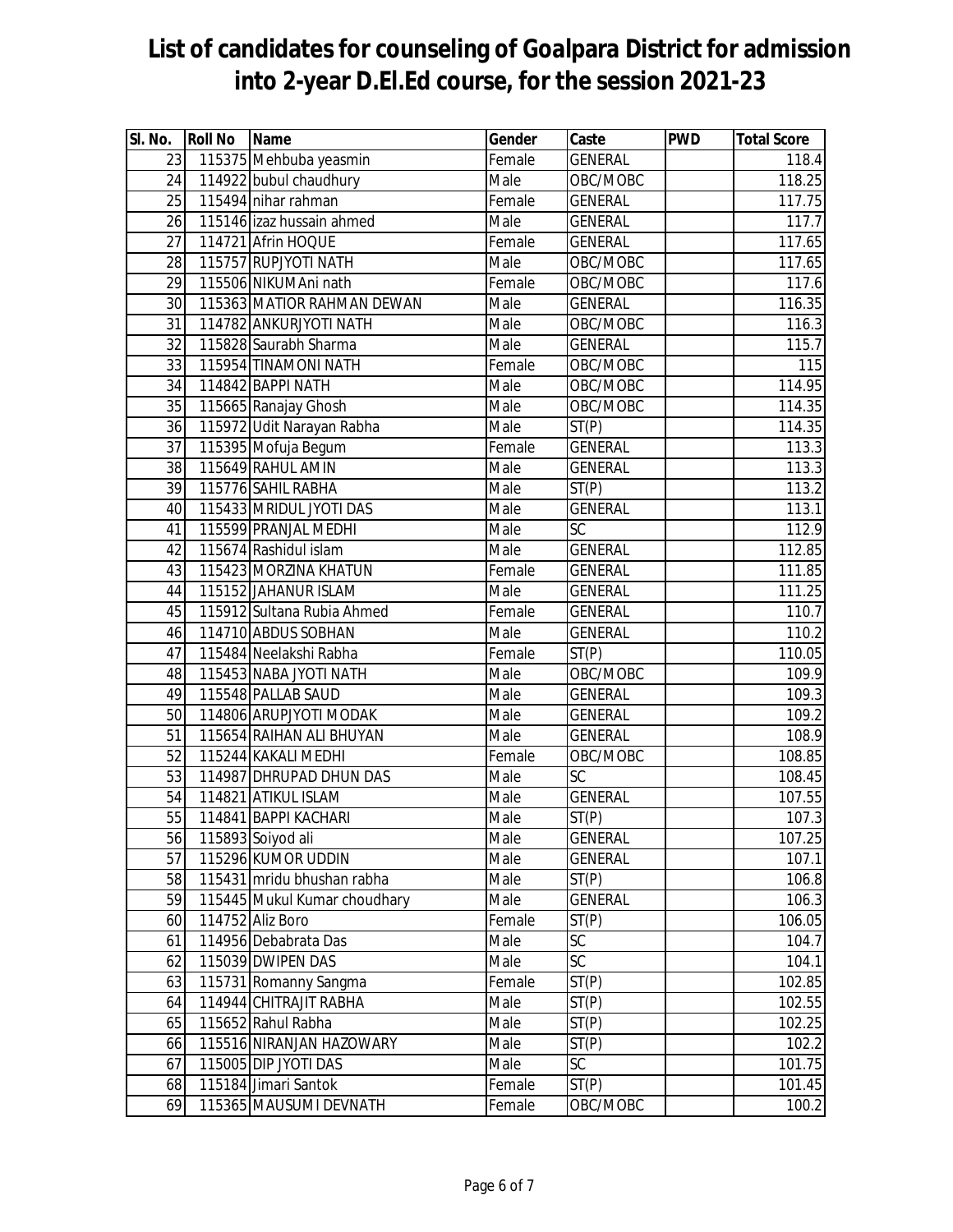| SI. No.         | <b>Roll No</b> | <b>Name</b>                  | Gender | Caste           | <b>PWD</b> | <b>Total Score</b> |
|-----------------|----------------|------------------------------|--------|-----------------|------------|--------------------|
| 23              |                | 115375 Mehbuba yeasmin       | Female | <b>GENERAL</b>  |            | 118.4              |
| 24              |                | 114922 bubul chaudhury       | Male   | OBC/MOBC        |            | 118.25             |
| 25              |                | 115494 nihar rahman          | Female | <b>GENERAL</b>  |            | 117.75             |
| 26              |                | 115146 izaz hussain ahmed    | Male   | <b>GENERAL</b>  |            | 117.7              |
| 27              |                | 114721 Afrin HOQUE           | Female | <b>GENERAL</b>  |            | 117.65             |
| 28              |                | 115757 RUPJYOTI NATH         | Male   | OBC/MOBC        |            | 117.65             |
| 29              |                | 115506 NIKUMAni nath         | Female | OBC/MOBC        |            | 117.6              |
| 30              |                | 115363 MATIOR RAHMAN DEWAN   | Male   | <b>GENERAL</b>  |            | 116.35             |
| $\overline{31}$ |                | 114782 ANKURJYOTI NATH       | Male   | OBC/MOBC        |            | 116.3              |
| 32              |                | 115828 Saurabh Sharma        | Male   | <b>GENERAL</b>  |            | 115.7              |
| 33              |                | 115954 TINAMONI NATH         | Female | OBC/MOBC        |            | 115                |
| 34              |                | 114842 BAPPI NATH            | Male   | OBC/MOBC        |            | 114.95             |
| 35              |                | 115665 Ranajay Ghosh         | Male   | OBC/MOBC        |            | 114.35             |
| 36              |                | 115972 Udit Narayan Rabha    | Male   | ST(P)           |            | 114.35             |
| 37              |                | 115395 Mofuja Begum          | Female | <b>GENERAL</b>  |            | 113.3              |
| 38              |                | 115649 RAHUL AMIN            | Male   | <b>GENERAL</b>  |            | 113.3              |
| 39              |                | 115776 SAHIL RABHA           | Male   | ST(P)           |            | 113.2              |
| 40              |                | 115433 MRIDUL JYOTI DAS      | Male   | <b>GENERAL</b>  |            | 113.1              |
| 41              |                | 115599 PRANJAL MEDHI         | Male   | SC              |            | 112.9              |
| 42              |                | 115674 Rashidul islam        | Male   | <b>GENERAL</b>  |            | 112.85             |
| 43              |                | 115423 MORZINA KHATUN        | Female | <b>GENERAL</b>  |            | 111.85             |
| 44              |                | 115152 JAHANUR ISLAM         | Male   | <b>GENERAL</b>  |            | 111.25             |
| 45              |                | 115912 Sultana Rubia Ahmed   | Female | <b>GENERAL</b>  |            | 110.7              |
| 46              |                | 114710 ABDUS SOBHAN          | Male   | <b>GENERAL</b>  |            | 110.2              |
| 47              |                | 115484 Neelakshi Rabha       | Female | ST(P)           |            | 110.05             |
| 48              |                | 115453 NABA JYOTI NATH       | Male   | OBC/MOBC        |            | 109.9              |
| 49              |                | 115548 PALLAB SAUD           | Male   | <b>GENERAL</b>  |            | 109.3              |
| 50              |                | 114806 ARUPJYOTI MODAK       | Male   | <b>GENERAL</b>  |            | 109.2              |
| 51              |                | 115654 RAIHAN ALI BHUYAN     | Male   | <b>GENERAL</b>  |            | 108.9              |
| 52              |                | 115244 KAKALI MEDHI          | Female | OBC/MOBC        |            | 108.85             |
| 53              |                | 114987 DHRUPAD DHUN DAS      | Male   | SC              |            | 108.45             |
| 54              |                | 114821 ATIKUL ISLAM          | Male   | <b>GENERAL</b>  |            | 107.55             |
| 55              |                | 114841 BAPPI KACHARI         | Male   | ST(P)           |            | 107.3              |
| 56              |                | 115893 Soiyod ali            | Male   | <b>GENERAL</b>  |            | 107.25             |
| 57              |                | 115296 KUMOR UDDIN           | Male   | <b>GENERAL</b>  |            | 107.1              |
| 58              |                | 115431 mridu bhushan rabha   | Male   | ST(P)           |            | 106.8              |
| 59              |                | 115445 Mukul Kumar choudhary | Male   | <b>GENERAL</b>  |            | 106.3              |
| 60              |                | 114752 Aliz Boro             | Female | ST(P)           |            | 106.05             |
| 61              |                | 114956 Debabrata Das         | Male   | SC              |            | 104.7              |
| 62              |                | 115039 DWIPEN DAS            | Male   | $\overline{SC}$ |            | 104.1              |
| 63              |                | 115731 Romanny Sangma        | Female | ST(P)           |            | 102.85             |
| 64              |                | 114944 CHITRAJIT RABHA       | Male   | ST(P)           |            | 102.55             |
| 65              |                | 115652 Rahul Rabha           | Male   | ST(P)           |            | 102.25             |
| 66              |                | 115516 NIRANJAN HAZOWARY     | Male   | ST(P)           |            | 102.2              |
| 67              |                | 115005 DIP JYOTI DAS         | Male   | $\overline{SC}$ |            | 101.75             |
| 68              |                | 115184 Jimari Santok         | Female | ST(P)           |            | 101.45             |
| 69              |                | 115365 MAUSUMI DEVNATH       | Female | OBC/MOBC        |            | 100.2              |